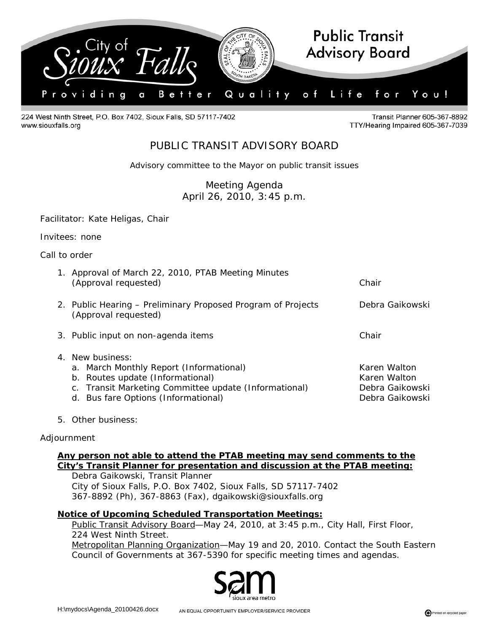

224 West Ninth Street, P.O. Box 7402, Sioux Falls, SD 57117-7402 www.siouxfalls.org

Transit Planner 605-367-8892 TTY/Hearing Impaired 605-367-7039

# PUBLIC TRANSIT ADVISORY BOARD

*Advisory committee to the Mayor on public transit issues* 

Meeting Agenda April 26, 2010, 3:45 p.m.

Facilitator: Kate Heligas, Chair

Invitees: none

Call to order

| 1. Approval of March 22, 2010, PTAB Meeting Minutes<br>(Approval requested)                                                                                                                     | Chair                                                              |
|-------------------------------------------------------------------------------------------------------------------------------------------------------------------------------------------------|--------------------------------------------------------------------|
| 2. Public Hearing – Preliminary Proposed Program of Projects<br>(Approval requested)                                                                                                            | Debra Gaikowski                                                    |
| 3. Public input on non-agenda items                                                                                                                                                             | Chair                                                              |
| 4. New business:<br>a. March Monthly Report (Informational)<br>b. Routes update (Informational)<br>c. Transit Marketing Committee update (Informational)<br>d. Bus fare Options (Informational) | Karen Walton<br>Karen Walton<br>Debra Gaikowski<br>Debra Gaikowski |

5. Other business:

#### Adjournment

## **Any person not able to attend the PTAB meeting may send comments to the City's Transit Planner for presentation and discussion at the PTAB meeting:**

 Debra Gaikowski, Transit Planner City of Sioux Falls, P.O. Box 7402, Sioux Falls, SD 57117-7402 367-8892 (Ph), 367-8863 (Fax), dgaikowski@siouxfalls.org

## **Notice of Upcoming Scheduled Transportation Meetings:**

Public Transit Advisory Board—May 24, 2010, at 3:45 p.m., City Hall, First Floor, 224 West Ninth Street. Metropolitan Planning Organization—May 19 and 20, 2010. Contact the South Eastern